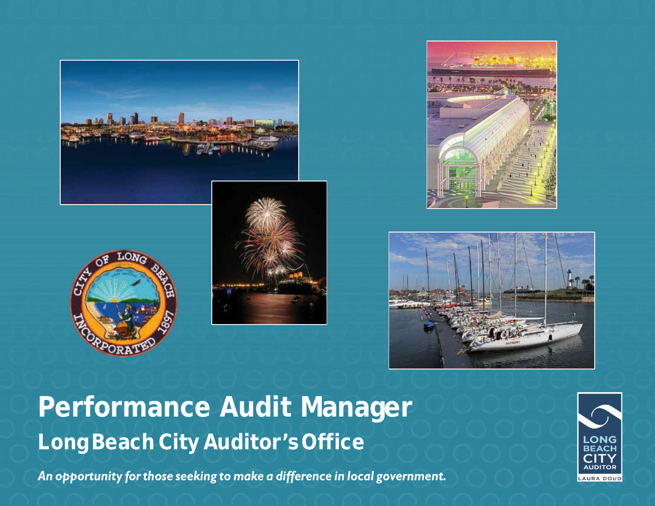









# **Performance Audit Manager Long Beach City Auditor's Office**

*An opportunity forthose seeking to make a difference in local government.*

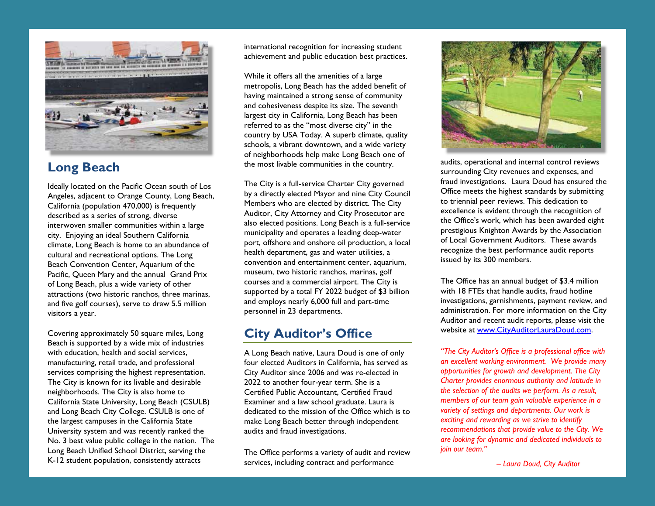

# **Long Beach**

Ideally located on the Pacific Ocean south of Los Angeles, adjacent to Orange County, Long Beach, California (population 470,000) is frequently described as a series of strong, diverse interwoven smaller communities within a large city. Enjoying an ideal Southern California climate, Long Beach is home to an abundance of cultural and recreational options. The Long Beach Convention Center, Aquarium of the Pacific, Queen Mary and the annual Grand Prix of Long Beach, plus a wide variety of other attractions (two historic ranchos, three marinas, and five golf courses), serve to draw 5.5 million visitors a year.

Covering approximately 50 square miles, Long Beach is supported by a wide mix of industries with education, health and social services, manufacturing, retail trade, and professional services comprising the highest representation. The City is known for its livable and desirable neighborhoods. The City is also home to California State University, Long Beach (CSULB) and Long Beach City College. CSULB is one of the largest campuses in the California State University system and was recently ranked the No. 3 best value public college in the nation. The Long Beach Unified School District, serving the K-12 student population, consistently attracts

international recognition for increasing student achievement and public education best practices.

While it offers all the amenities of a large metropolis, Long Beach has the added benefit of having maintained a strong sense of community and cohesiveness despite its size. The seventh largest city in California, Long Beach has been referred to as the "most diverse city" in the country by USA Today. A superb climate, quality schools, a vibrant downtown, and a wide variety of neighborhoods help make Long Beach one of the most livable communities in the country.

The City is a full-service Charter City governed by a directly elected Mayor and nine City Council Members who are elected by district. The City Auditor, City Attorney and City Prosecutor are also elected positions. Long Beach is a full-service municipality and operates a leading deep-water port, offshore and onshore oil production, a local health department, gas and water utilities, a convention and entertainment center, aquarium, museum, two historic ranchos, marinas, golf courses and a commercial airport. The City is supported by a total FY 2022 budget of \$3 billion and employs nearly 6,000 full and part-time personnel in 23 departments.

# **City Auditor's Office**

A Long Beach native, Laura Doud is one of only four elected Auditors in California, has served as City Auditor since 2006 and was re-elected in 2022 to another four-year term. She is a Certified Public Accountant, Certified Fraud Examiner and a law school graduate. Laura is dedicated to the mission of the Office which is to make Long Beach better through independent audits and fraud investigations.

The Office performs a variety of audit and review services, including contract and performance



audits, operational and internal control reviews surrounding City revenues and expenses, and fraud investigations. Laura Doud has ensured the Office meets the highest standards by submitting to triennial peer reviews. This dedication to excellence is evident through the recognition of the Office's work, which has been awarded eight prestigious Knighton Awards by the Association of Local Government Auditors. These awards recognize the best performance audit reports issued by its 300 members.

The Office has an annual budget of \$3.4 million with 18 FTEs that handle audits, fraud hotline investigations, garnishments, payment review, and administration. For more information on the City Auditor and recent audit reports, please visit the website at [www.CityAuditorLauraDoud.com.](http://www.cityauditorlauradoud.com/)

*"The City Auditor's Office is a professional office with an excellent working environment. We provide many opportunities for growth and development. The City Charter provides enormous authority and latitude in the selection of the audits we perform. As a result, members of our team gain valuable experience in a variety of settings and departments. Our work is exciting and rewarding as we strive to identify recommendations that provide value to the City. We are looking for dynamic and dedicated individuals to join our team."*

 *– Laura Doud, City Auditor*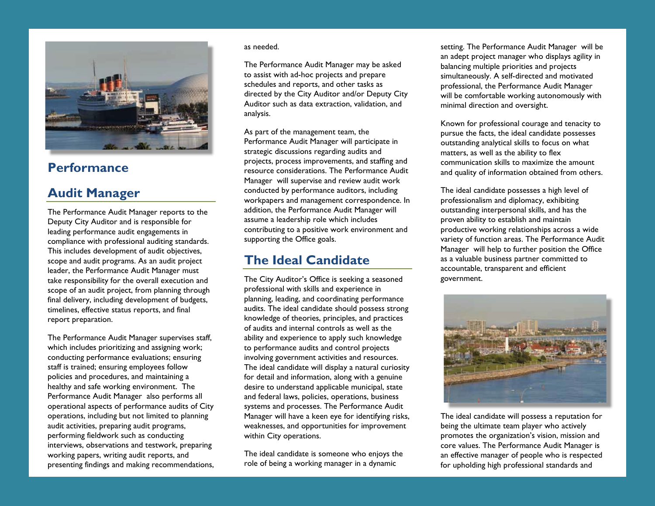

### **Performance**

### **Audit Manager**

The Performance Audit Manager reports to the Deputy City Auditor and is responsible for leading performance audit engagements in compliance with professional auditing standards. This includes development of audit objectives, scope and audit programs. As an audit project leader, the Performance Audit Manager must take responsibility for the overall execution and scope of an audit project, from planning through final delivery, including development of budgets, timelines, effective status reports, and final report preparation.

The Performance Audit Manager supervises staff, which includes prioritizing and assigning work; conducting performance evaluations; ensuring staff is trained; ensuring employees follow policies and procedures, and maintaining a healthy and safe working environment. The Performance Audit Manager also performs all operational aspects of performance audits of City operations, including but not limited to planning audit activities, preparing audit programs, performing fieldwork such as conducting interviews, observations and testwork, preparing working papers, writing audit reports, and presenting findings and making recommendations,

#### as needed.

The Performance Audit Manager may be asked to assist with ad-hoc projects and prepare schedules and reports, and other tasks as directed by the City Auditor and/or Deputy City Auditor such as data extraction, validation, and analysis.

As part of the management team, the Performance Audit Manager will participate in strategic discussions regarding audits and projects, process improvements, and staffing and resource considerations. The Performance Audit Manager will supervise and review audit work conducted by performance auditors, including workpapers and management correspondence. In addition, the Performance Audit Manager will assume a leadership role which includes contributing to a positive work environment and supporting the Office goals.

### **The Ideal Candidate**

The City Auditor's Office is seeking a seasoned professional with skills and experience in planning, leading, and coordinating performance audits. The ideal candidate should possess strong knowledge of theories, principles, and practices of audits and internal controls as well as the ability and experience to apply such knowledge to performance audits and control projects involving government activities and resources. The ideal candidate will display a natural curiosity for detail and information, along with a genuine desire to understand applicable municipal, state and federal laws, policies, operations, business systems and processes. The Performance Audit Manager will have a keen eye for identifying risks, weaknesses, and opportunities for improvement within City operations.

The ideal candidate is someone who enjoys the role of being a working manager in a dynamic

setting. The Performance Audit Manager will be an adept project manager who displays agility in balancing multiple priorities and projects simultaneously. A self-directed and motivated professional, the Performance Audit Manager will be comfortable working autonomously with minimal direction and oversight.

Known for professional courage and tenacity to pursue the facts, the ideal candidate possesses outstanding analytical skills to focus on what matters, as well as the ability to flex communication skills to maximize the amount and quality of information obtained from others.

The ideal candidate possesses a high level of professionalism and diplomacy, exhibiting outstanding interpersonal skills, and has the proven ability to establish and maintain productive working relationships across a wide variety of function areas. The Performance Audit Manager will help to further position the Office as a valuable business partner committed to accountable, transparent and efficient government.



The ideal candidate will possess a reputation for being the ultimate team player who actively promotes the organization's vision, mission and core values. The Performance Audit Manager is an effective manager of people who is respected for upholding high professional standards and